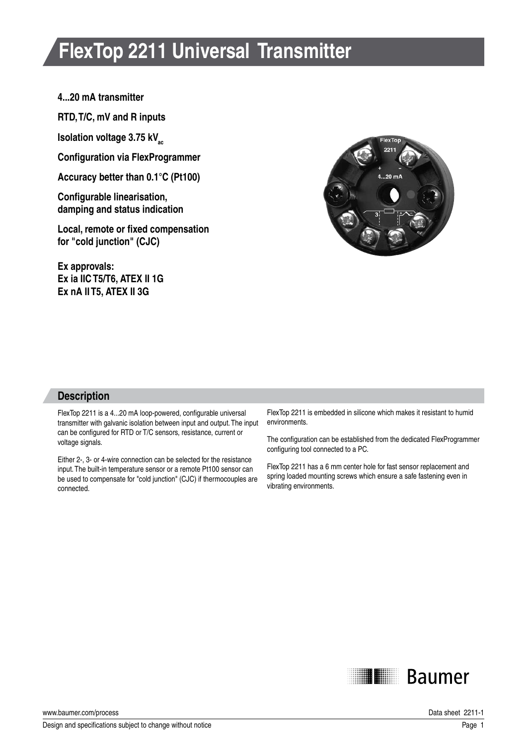# **FlexTop 2211 Universal Transmitter**

#### **4...20 mA transmitter**

**RTD, T/C, mV and R inputs**

**Isolation voltage 3.75 kV**<sub>sc</sub>

**Configuration via FlexProgrammer**

**Accuracy better than 0.1°C (Pt100)**

**Configurable linearisation, damping and status indication**

**Local, remote or fixed compensation for "cold junction" (CJC)**

**Ex approvals: Ex ia IIC T5/T6, ATEX II 1G Ex nA II T5, ATEX II 3G**



### **Description**

FlexTop 2211 is a 4...20 mA loop-powered, configurable universal transmitter with galvanic isolation between input and output. The input can be configured for RTD or T/C sensors, resistance, current or voltage signals.

Either 2-, 3- or 4-wire connection can be selected for the resistance input. The built-in temperature sensor or a remote Pt100 sensor can be used to compensate for "cold junction" (CJC) if thermocouples are connected.

FlexTop 2211 is embedded in silicone which makes it resistant to humid environments.

The configuration can be established from the dedicated FlexProgrammer configuring tool connected to a PC.

FlexTop 2211 has a 6 mm center hole for fast sensor replacement and spring loaded mounting screws which ensure a safe fastening even in vibrating environments.



www.baumer.com/process Data sheet 2211-1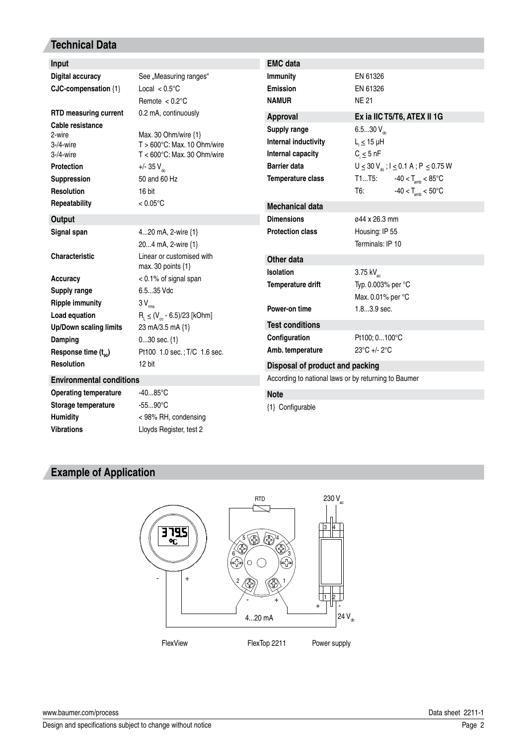## **Technical Data**

| Input                                                                                                                    |                                                                                                                                                                | <b>EMC</b> data                                                                                       |                                                                       |                                                                                                                                             |  |
|--------------------------------------------------------------------------------------------------------------------------|----------------------------------------------------------------------------------------------------------------------------------------------------------------|-------------------------------------------------------------------------------------------------------|-----------------------------------------------------------------------|---------------------------------------------------------------------------------------------------------------------------------------------|--|
| <b>Digital accuracy</b>                                                                                                  | See "Measuring ranges"                                                                                                                                         | <b>Immunity</b>                                                                                       | EN 61326                                                              |                                                                                                                                             |  |
| CJC-compensation {1}                                                                                                     | Local $< 0.5$ °C                                                                                                                                               | <b>Emission</b>                                                                                       | EN 61326                                                              |                                                                                                                                             |  |
|                                                                                                                          | Remote $< 0.2$ °C                                                                                                                                              | <b>NAMUR</b>                                                                                          | <b>NE21</b>                                                           |                                                                                                                                             |  |
| <b>RTD measuring current</b>                                                                                             | 0.2 mA, continuously                                                                                                                                           | Approval                                                                                              | Ex ia IIC T5/T6, ATEX II 1G                                           |                                                                                                                                             |  |
| Cable resistance<br>2-wire<br>$3-4$ -wire<br>$3-4$ -wire<br><b>Protection</b><br><b>Suppression</b><br><b>Resolution</b> | Max. 30 Ohm/wire $\{1\}$<br>$T > 600^{\circ}$ C: Max. 10 Ohm/wire<br>$T < 600^{\circ}$ C: Max, 30 Ohm/wire<br>+/- 35 $V_{\text{dc}}$<br>50 and 60 Hz<br>16 bit | Supply range<br>Internal inductivity<br>Internal capacity<br><b>Barrier data</b><br>Temperature class | 6.530 $V_{ac}$<br>$L_i \leq 15$ µH<br>$C_i \leq 5$ nF<br>T1T5:<br>T6: | $U \le 30 V_{\text{dc}}$ ; $I \le 0.1 A$ ; $P \le 0.75 W$<br>$-40 < T_{\text{amb}} < 85^{\circ}$ C<br>$-40 < T_{\text{amb}} < 50^{\circ}$ C |  |
| Repeatability                                                                                                            | $< 0.05$ °C                                                                                                                                                    | <b>Mechanical data</b>                                                                                |                                                                       |                                                                                                                                             |  |
| <b>Output</b>                                                                                                            |                                                                                                                                                                | <b>Dimensions</b>                                                                                     | ø44 x 26.3 mm                                                         |                                                                                                                                             |  |
| Signal span                                                                                                              | 420 mA, 2-wire {1}                                                                                                                                             | <b>Protection class</b>                                                                               | Housing: IP 55                                                        |                                                                                                                                             |  |
|                                                                                                                          | 204 mA, 2-wire {1}                                                                                                                                             |                                                                                                       | Terminals: IP 10                                                      |                                                                                                                                             |  |
| <b>Characteristic</b>                                                                                                    | Linear or customised with<br>max. 30 points $\{1\}$                                                                                                            | Other data                                                                                            |                                                                       |                                                                                                                                             |  |
| <b>Accuracy</b>                                                                                                          | $< 0.1\%$ of signal span                                                                                                                                       | <b>Isolation</b>                                                                                      | 3.75 kV <sub>ac</sub><br>Typ. 0.003% per °C                           |                                                                                                                                             |  |
| <b>Supply range</b>                                                                                                      | 6.535 Vdc                                                                                                                                                      | Temperature drift                                                                                     |                                                                       |                                                                                                                                             |  |
| <b>Ripple immunity</b>                                                                                                   | $3V_{rms}$                                                                                                                                                     |                                                                                                       | Max. 0.01% per °C                                                     |                                                                                                                                             |  |
| Load equation                                                                                                            | $R_1 \leq (V_{\infty} - 6.5)/23$ [kOhm]                                                                                                                        | Power-on time                                                                                         | $1.83.9$ sec.                                                         |                                                                                                                                             |  |
| <b>Up/Down scaling limits</b>                                                                                            | 23 mA/3.5 mA {1}                                                                                                                                               | <b>Test conditions</b>                                                                                |                                                                       |                                                                                                                                             |  |
| Damping                                                                                                                  | $030$ sec. $\{1\}$                                                                                                                                             | Configuration                                                                                         | Pt100; 0100°C                                                         |                                                                                                                                             |  |
| Response time $(t_{\alpha_0})$                                                                                           | Pt100 1.0 sec.; T/C 1.6 sec.                                                                                                                                   | Amb. temperature                                                                                      | $23^{\circ}$ C +/- 2 $^{\circ}$ C                                     |                                                                                                                                             |  |
| <b>Resolution</b>                                                                                                        | 12 bit                                                                                                                                                         | Disposal of product and packing                                                                       |                                                                       |                                                                                                                                             |  |
| <b>Environmental conditions</b>                                                                                          |                                                                                                                                                                | According to national laws or by returning to Baumer                                                  |                                                                       |                                                                                                                                             |  |
| <b>Operating temperature</b>                                                                                             | $-4085^{\circ}C$                                                                                                                                               | <b>Note</b>                                                                                           |                                                                       |                                                                                                                                             |  |
| Storage temperature                                                                                                      | $-5590^{\circ}C$                                                                                                                                               | {1} Configurable                                                                                      |                                                                       |                                                                                                                                             |  |

**Humidity** < 98% RH, condensing **Vibrations** Lloyds Register, test 2

{1} Configurable

# **Example of Application**



www.baumer.com/process Data sheet 2211-1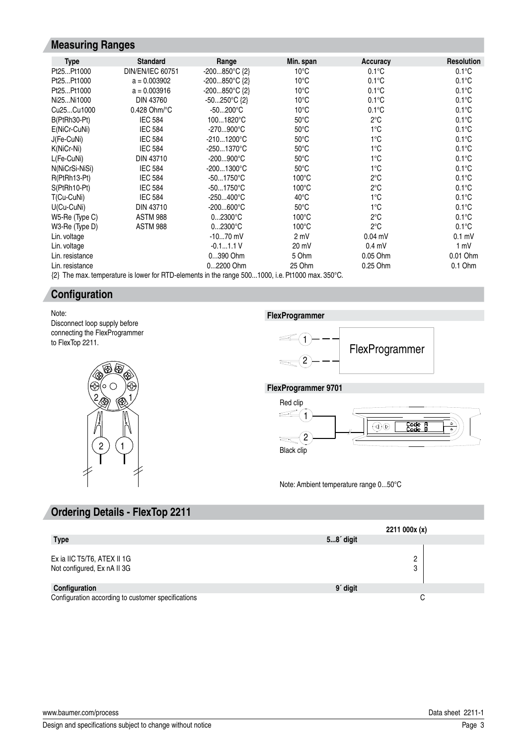### **Measuring Ranges**

| <b>Type</b>                         | <b>Standard</b>          | Range                  | Min. span                                  | Accuracy        | <b>Resolution</b> |
|-------------------------------------|--------------------------|------------------------|--------------------------------------------|-----------------|-------------------|
| Pt25Pt1000                          | <b>DIN/EN/IEC 60751</b>  | $-200850^{\circ}C$ {2} | $10^{\circ}$ C                             | $0.1^{\circ}$ C | $0.1^{\circ}$ C   |
| Pt25Pt1000                          | $a = 0.003902$           | $-200850^{\circ}C$ {2} | $10^{\circ}$ C                             | $0.1^{\circ}$ C | $0.1^{\circ}$ C   |
| Pt25Pt1000                          | $a = 0.003916$           | $-200850^{\circ}C$ {2} | $10^{\circ}$ C                             | $0.1^{\circ}$ C | $0.1^{\circ}$ C   |
| Ni25Ni1000                          | DIN 43760                | $-50250^{\circ}C$ {2}  | $10^{\circ}$ C                             | $0.1^{\circ}$ C | $0.1^{\circ}$ C   |
| Cu <sub>25</sub> Cu <sub>1000</sub> | $0.428$ Ohm/ $\degree$ C | $-50200^{\circ}C$      | $10^{\circ}$ C                             | $0.1^{\circ}$ C | $0.1^{\circ}$ C   |
| B(PtRh30-Pt)                        | <b>IEC 584</b>           | 1001820°C              | $50^{\circ}$ C                             | $2^{\circ}C$    | $0.1^{\circ}$ C   |
| E(NiCr-CuNi)                        | <b>IEC 584</b>           | -270900°C              | $50^{\circ}$ C                             | $1^{\circ}$ C   | $0.1^{\circ}$ C   |
| J(Fe-CuNi)                          | <b>IEC 584</b>           | -2101200°C             | $50^{\circ}$ C                             | $1^{\circ}$ C   | $0.1^{\circ}$ C   |
| K(NiCr-Ni)                          | <b>IEC 584</b>           | -2501370°C             | $50^{\circ}$ C                             | $1^{\circ}$ C   | $0.1^{\circ}$ C   |
| L(Fe-CuNi)                          | DIN 43710                | $-200900^{\circ}C$     | $50^{\circ}$ C                             | 1°C             | $0.1^{\circ}$ C   |
| N(NiCrSi-NiSi)                      | <b>IEC 584</b>           | -2001300°C             | $50^{\circ}$ C                             | $1^{\circ}$ C   | $0.1^{\circ}$ C   |
| R(PtRh13-Pt)                        | <b>IEC 584</b>           | $-501750^{\circ}$ C    | $100^{\circ}$ C                            | $2^{\circ}$ C   | $0.1^{\circ}$ C   |
| S(PtRh10-Pt)                        | <b>IEC 584</b>           | $-501750^{\circ}C$     | $100^{\circ}$ C                            | $2^{\circ}$ C   | $0.1^{\circ}$ C   |
| T(Cu-CuNi)                          | <b>IEC 584</b>           | $-250400^{\circ}C$     | $40^{\circ}$ C                             | $1^{\circ}$ C   | $0.1^{\circ}$ C   |
| $U(Cu-CuNi)$                        | DIN 43710                | $-200600^{\circ}C$     | $50^{\circ}$ C                             | $1^{\circ}$ C   | $0.1^{\circ}$ C   |
| W5-Re (Type C)                      | <b>ASTM 988</b>          | $02300^{\circ}C$       | $100^{\circ}$ C                            | $2^{\circ}$ C   | $0.1^{\circ}$ C   |
| W3-Re (Type D)                      | <b>ASTM 988</b>          | $02300^{\circ}C$       | $100^{\circ}$ C                            | $2^{\circ}$ C   | $0.1^{\circ}$ C   |
| Lin. voltage                        |                          | $-1070$ mV             | 2 mV                                       | $0.04$ mV       | $0.1$ mV          |
| Lin. voltage                        |                          | $-0.11.1V$             | 20 mV                                      | $0.4$ mV        | 1 mV              |
| Lin. resistance                     |                          | 0390 Ohm               | 5 Ohm                                      | 0.05 Ohm        | 0.01 Ohm          |
| Lin. resistance                     |                          | 02200 Ohm              | 25 Ohm                                     | 0.25 Ohm        | $0.1$ Ohm         |
|                                     | $- - -$                  | - ^ ^                  | $\mathbf{a} = \mathbf{a} \cdot \mathbf{a}$ |                 |                   |

{2} The max. temperature is lower for RTD-elements in the range 500...1000, i.e. Pt1000 max. 350°C.

### **Configuration**

Note: Disconnect loop supply before connecting the FlexProgrammer to FlexTop 2211.



**FlexProgrammer**



**FlexProgrammer 9701**

![](_page_2_Figure_9.jpeg)

Note: Ambient temperature range 0...50°C

### **Ordering Details - FlexTop 2211**

|                                                            | 2211000x(x)          |  |  |
|------------------------------------------------------------|----------------------|--|--|
| <b>Type</b>                                                | $58'$ digit          |  |  |
| Ex ia IIC T5/T6, ATEX II 1G<br>Not configured, Ex nA II 3G | ∩<br>Ω               |  |  |
| Configuration                                              | 9 <sup>'</sup> digit |  |  |
| Configuration according to customer specifications         | C                    |  |  |